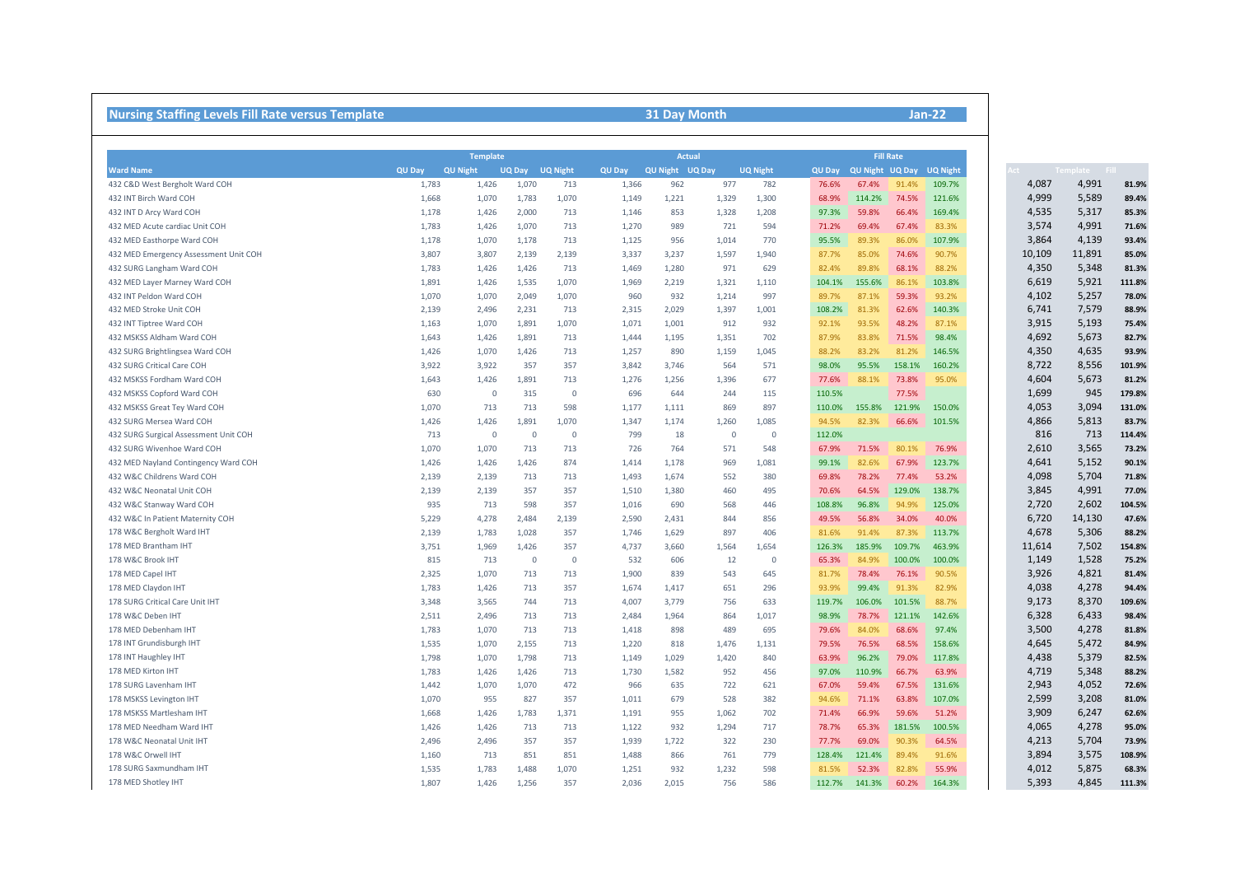## **Nursing Staffing Levels Fill Rate versus Template 31 Day Month**

|                                           |               | <b>Template</b> |                |                 |               |                                  | <b>Actual</b> |                 |               |                        | <b>Fill Rate</b> |                 |        |  |  |
|-------------------------------------------|---------------|-----------------|----------------|-----------------|---------------|----------------------------------|---------------|-----------------|---------------|------------------------|------------------|-----------------|--------|--|--|
| <b>Ward Name</b>                          | <b>QU Day</b> | <b>QU Night</b> | <b>UQ Day</b>  | <b>UQ Night</b> | <b>QU Day</b> | <b>QU Night</b><br><b>UQ Dav</b> |               | <b>UQ Night</b> | <b>QU Day</b> | <b>QU Night UQ Day</b> |                  | <b>UQ Night</b> | .ct -  |  |  |
| 432 C&D West Bergholt Ward COH            | 1,783         | 1,426           | 1,070          | 713             | 1,366         | 962                              | 977           | 782             | 76.6%         | 67.4%                  | 91.4%            | 109.7%          | 4,087  |  |  |
| 432 INT Birch Ward COH                    | 1,668         | 1,070           | 1,783          | 1,070           | 1,149         | 1,221                            | 1,329         | 1,300           | 68.9%         | 114.2%                 | 74.5%            | 121.6%          | 4,999  |  |  |
| 432 INT D Arcy Ward COH                   | 1,178         | 1,426           | 2,000          | 713             | 1,146         | 853                              | 1,328         | 1,208           | 97.3%         | 59.8%                  | 66.4%            | 169.4%          | 4,535  |  |  |
| 432 MED Acute cardiac Unit COH            | 1,783         | 1,426           | 1,070          | 713             | 1,270         | 989                              | 721           | 594             | 71.2%         | 69.4%                  | 67.4%            | 83.3%           | 3,574  |  |  |
| 432 MED Easthorpe Ward COH                | 1,178         | 1,070           | 1,178          | 713             | 1,125         | 956                              | 1,014         | 770             | 95.5%         | 89.3%                  | 86.0%            | 107.9%          | 3,864  |  |  |
| 432 MED Emergency Assessment Unit COH     | 3,807         | 3,807           | 2,139          | 2,139           | 3,337         | 3,237                            | 1,597         | 1,940           | 87.7%         | 85.0%                  | 74.6%            | 90.7%           | 10,109 |  |  |
| 432 SURG Langham Ward COH                 | 1,783         | 1,426           | 1,426          | 713             | 1,469         | 1,280                            | 971           | 629             | 82.4%         | 89.8%                  | 68.1%            | 88.2%           | 4,350  |  |  |
| 432 MED Layer Marney Ward COH             | 1,891         | 1,426           | 1,535          | 1,070           | 1,969         | 2,219                            | 1,321         | 1,110           | 104.1%        | 155.6%                 | 86.1%            | 103.8%          | 6,619  |  |  |
| 432 INT Peldon Ward COH                   | 1,070         | 1,070           | 2,049          | 1,070           | 960           | 932                              | 1,214         | 997             | 89.7%         | 87.1%                  | 59.3%            | 93.2%           | 4,102  |  |  |
| 432 MED Stroke Unit COH                   | 2,139         | 2,496           | 2,231          | 713             | 2,315         | 2,029                            | 1,397         | 1,001           | 108.2%        | 81.3%                  | 62.6%            | 140.3%          | 6,741  |  |  |
| 432 INT Tiptree Ward COH                  | 1,163         | 1,070           | 1,891          | 1,070           | 1,071         | 1,001                            | 912           | 932             | 92.1%         | 93.5%                  | 48.2%            | 87.1%           | 3,915  |  |  |
| 432 MSKSS Aldham Ward COH                 | 1,643         | 1,426           | 1,891          | 713             | 1,444         | 1,195                            | 1,351         | 702             | 87.9%         | 83.8%                  | 71.5%            | 98.4%           | 4,692  |  |  |
| 432 SURG Brightlingsea Ward COH           | 1,426         | 1,070           | 1,426          | 713             | 1,257         | 890                              | 1,159         | 1,045           | 88.2%         | 83.2%                  | 81.2%            | 146.5%          | 4,350  |  |  |
| 432 SURG Critical Care COH                | 3,922         | 3,922           | 357            | 357             | 3,842         | 3,746                            | 564           | 571             | 98.0%         | 95.5%                  | 158.1%           | 160.2%          | 8,722  |  |  |
| 432 MSKSS Fordham Ward COH                | 1,643         | 1,426           | 1,891          | 713             | 1,276         | 1,256                            | 1,396         | 677             | 77.6%         | 88.1%                  | 73.8%            | 95.0%           | 4,604  |  |  |
| 432 MSKSS Copford Ward COH                | 630           | $\Omega$        | 315            | $\overline{0}$  | 696           | 644                              | 244           | 115             | 110.5%        |                        | 77.5%            |                 | 1,699  |  |  |
| 432 MSKSS Great Tey Ward COH              | 1,070         | 713             | 713            | 598             | 1,177         | 1,111                            | 869           | 897             | 110.0%        | 155.8%                 | 121.9%           | 150.0%          | 4,053  |  |  |
| 432 SURG Mersea Ward COH                  | 1,426         | 1,426           | 1,891          | 1,070           | 1,347         | 1,174                            | 1,260         | 1,085           | 94.5%         | 82.3%                  | 66.6%            | 101.5%          | 4,866  |  |  |
| 432 SURG Surgical Assessment Unit COH     | 713           | $\Omega$        | $\overline{0}$ | $\overline{0}$  | 799           | 18                               | $\mathbf 0$   | $\overline{0}$  | 112.0%        |                        |                  |                 | 816    |  |  |
| 432 SURG Wivenhoe Ward COH                | 1,070         | 1,070           | 713            | 713             | 726           | 764                              | 571           | 548             | 67.9%         | 71.5%                  | 80.1%            | 76.9%           | 2,610  |  |  |
| 432 MED Nayland Contingency Ward COH      | 1,426         | 1,426           | 1,426          | 874             | 1,414         | 1,178                            | 969           | 1,081           | 99.1%         | 82.6%                  | 67.9%            | 123.7%          | 4,641  |  |  |
| 432 W&C Childrens Ward COH                | 2,139         | 2,139           | 713            | 713             | 1,493         | 1,674                            | 552           | 380             | 69.8%         | 78.2%                  | 77.4%            | 53.2%           | 4,098  |  |  |
| 432 W&C Neonatal Unit COH                 | 2,139         | 2,139           | 357            | 357             | 1,510         | 1,380                            | 460           | 495             | 70.6%         | 64.5%                  | 129.0%           | 138.7%          | 3,845  |  |  |
|                                           |               | 713             | 598            | 357             |               | 690                              | 568           | 446             |               | 96.8%                  |                  | 125.0%          | 2,720  |  |  |
| 432 W&C Stanway Ward COH                  | 935           |                 |                |                 | 1,016         |                                  |               |                 | 108.8%        |                        | 94.9%            |                 |        |  |  |
| 432 W&C In Patient Maternity COH          | 5,229         | 4,278           | 2,484          | 2,139           | 2,590         | 2,431                            | 844           | 856             | 49.5%         | 56.8%                  | 34.0%            | 40.0%           | 6,720  |  |  |
| 178 W&C Bergholt Ward IHT                 | 2,139         | 1,783           | 1,028          | 357             | 1,746         | 1,629                            | 897           | 406             | 81.6%         | 91.4%                  | 87.3%            | 113.7%          | 4,678  |  |  |
| 178 MED Brantham IHT<br>178 W&C Brook IHT | 3,751         | 1,969           | 1,426          | 357             | 4,737         | 3,660                            | 1,564         | 1,654           | 126.3%        | 185.9%                 | 109.7%           | 463.9%          | 11,614 |  |  |
|                                           | 815           | 713             | $\overline{0}$ | $\overline{0}$  | 532           | 606                              | 12            | $\overline{0}$  | 65.3%         | 84.9%                  | 100.0%           | 100.0%          | 1,149  |  |  |
| 178 MED Capel IHT                         | 2,325         | 1,070           | 713            | 713             | 1,900         | 839                              | 543           | 645             | 81.7%         | 78.4%                  | 76.1%            | 90.5%           | 3,926  |  |  |
| 178 MED Claydon IHT                       | 1,783         | 1,426           | 713            | 357             | 1,674         | 1,417                            | 651           | 296             | 93.9%         | 99.4%                  | 91.3%            | 82.9%           | 4,038  |  |  |
| 178 SURG Critical Care Unit IHT           | 3,348         | 3,565           | 744            | 713             | 4,007         | 3,779                            | 756           | 633             | 119.7%        | 106.0%                 | 101.5%           | 88.7%           | 9,173  |  |  |
| 178 W&C Deben IHT                         | 2,511         | 2,496           | 713            | 713             | 2,484         | 1,964                            | 864           | 1,017           | 98.9%         | 78.7%                  | 121.1%           | 142.6%          | 6,328  |  |  |
| 178 MED Debenham IHT                      | 1,783         | 1,070           | 713            | 713             | 1,418         | 898                              | 489           | 695             | 79.6%         | 84.0%                  | 68.6%            | 97.4%           | 3,500  |  |  |
| 178 INT Grundisburgh IHT                  | 1,535         | 1,070           | 2,155          | 713             | 1,220         | 818                              | 1,476         | 1,131           | 79.5%         | 76.5%                  | 68.5%            | 158.6%          | 4,645  |  |  |
| 178 INT Haughley IHT                      | 1,798         | 1,070           | 1,798          | 713             | 1,149         | 1,029                            | 1,420         | 840             | 63.9%         | 96.2%                  | 79.0%            | 117.8%          | 4,438  |  |  |
| 178 MED Kirton IHT                        | 1,783         | 1,426           | 1,426          | 713             | 1,730         | 1,582                            | 952           | 456             | 97.0%         | 110.9%                 | 66.7%            | 63.9%           | 4,719  |  |  |
| 178 SURG Lavenham IHT                     | 1,442         | 1,070           | 1,070          | 472             | 966           | 635                              | 722           | 621             | 67.0%         | 59.4%                  | 67.5%            | 131.6%          | 2,943  |  |  |
| 178 MSKSS Levington IHT                   | 1,070         | 955             | 827            | 357             | 1,011         | 679                              | 528           | 382             | 94.6%         | 71.1%                  | 63.8%            | 107.0%          | 2,599  |  |  |
| 178 MSKSS Martlesham IHT                  | 1,668         | 1,426           | 1,783          | 1,371           | 1,191         | 955                              | 1,062         | 702             | 71.4%         | 66.9%                  | 59.6%            | 51.2%           | 3,909  |  |  |
| 178 MED Needham Ward IHT                  | 1,426         | 1,426           | 713            | 713             | 1,122         | 932                              | 1,294         | 717             | 78.7%         | 65.3%                  | 181.5%           | 100.5%          | 4,065  |  |  |
| 178 W&C Neonatal Unit IHT                 | 2,496         | 2,496           | 357            | 357             | 1,939         | 1,722                            | 322           | 230             | 77.7%         | 69.0%                  | 90.3%            | 64.5%           | 4,213  |  |  |
| 178 W&C Orwell IHT                        | 1,160         | 713             | 851            | 851             | 1,488         | 866                              | 761           | 779             | 128.4%        | 121.4%                 | 89.4%            | 91.6%           | 3,894  |  |  |
| 178 SURG Saxmundham IHT                   | 1,535         | 1,783           | 1,488          | 1,070           | 1,251         | 932                              | 1,232         | 598             | 81.5%         | 52.3%                  | 82.8%            | 55.9%           | 4,012  |  |  |
| 178 MED Shotley IHT                       | 1,807         | 1,426           | 1,256          | 357             | 2,036         | 2,015                            | 756           | 586             |               | 112.7% 141.3%          | 60.2%            | 164.3%          | 5,393  |  |  |

## **Jan-22**

| Act    | Template | ĒΠ     |
|--------|----------|--------|
| 4,087  | 4,991    | 81.9%  |
| 4,999  | 5,589    | 89.4%  |
| 4,535  | 5,317    | 85.3%  |
| 3,574  | 4,991    | 71.6%  |
| 3,864  | 4,139    | 93.4%  |
| 10,109 | 11,891   | 85.0%  |
| 4,350  | 5,348    | 81.3%  |
| 6,619  | 5,921    | 111.8% |
| 4,102  | 5,257    | 78.0%  |
| 6,741  | 7,579    | 88.9%  |
| 3,915  | 5,193    | 75.4%  |
| 4,692  | 5,673    | 82.7%  |
| 4,350  | 4,635    | 93.9%  |
| 8,722  | 8,556    | 101.9% |
| 4,604  | 5,673    | 81.2%  |
| 1,699  | 945      | 179.8% |
| 4,053  | 3,094    | 131.0% |
| 4,866  | 5,813    | 83.7%  |
| 816    | 713      | 114.4% |
| 2,610  | 3,565    | 73.2%  |
| 4,641  | 5,152    | 90.1%  |
| 4,098  | 5,704    | 71.8%  |
| 3,845  | 4,991    | 77.0%  |
| 2,720  | 2,602    | 104.5% |
| 6,720  | 14,130   | 47.6%  |
| 4,678  | 5,306    | 88.2%  |
| 11,614 | 7,502    | 154.8% |
| 1,149  | 1,528    | 75.2%  |
| 3,926  | 4,821    | 81.4%  |
| 4,038  | 4,278    | 94.4%  |
| 9,173  | 8,370    | 109.6% |
| 6,328  | 6,433    | 98.4%  |
| 3,500  | 4,278    | 81.8%  |
| 4,645  | 5,472    | 84.9%  |
| 4,438  | 5,379    | 82.5%  |
| 4,719  | 5,348    | 88.2%  |
| 2,943  | 4,052    | 72.6%  |
| 2,599  | 3,208    | 81.0%  |
| 3,909  | 6,247    | 62.6%  |
| 4,065  | 4,278    | 95.0%  |
| 4,213  | 5,704    | 73.9%  |
| 3,894  | 3,575    | 108.9% |
| 4,012  | 5,875    | 68.3%  |
| 5,393  | 4,845    | 111.3% |